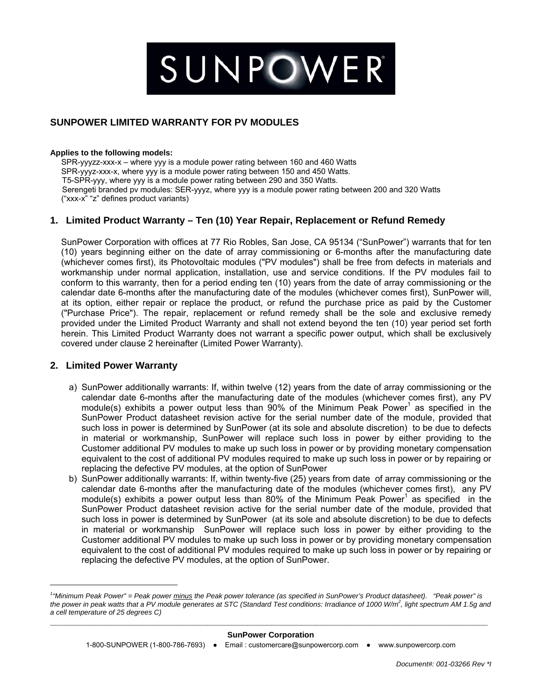# SUNPOWER

# **SUNPOWER LIMITED WARRANTY FOR PV MODULES**

#### **Applies to the following models:**

 SPR-yyyzz-xxx-x – where yyy is a module power rating between 160 and 460 Watts SPR-yyyz-xxx-x, where yyy is a module power rating between 150 and 450 Watts. T5-SPR-yyy, where yyy is a module power rating between 290 and 350 Watts. Serengeti branded pv modules: SER-yyyz, where yyy is a module power rating between 200 and 320 Watts ("xxx-x" "z" defines product variants)

#### **1. Limited Product Warranty – Ten (10) Year Repair, Replacement or Refund Remedy**

SunPower Corporation with offices at 77 Rio Robles, San Jose, CA 95134 ("SunPower") warrants that for ten (10) years beginning either on the date of array commissioning or 6-months after the manufacturing date (whichever comes first), its Photovoltaic modules ("PV modules") shall be free from defects in materials and workmanship under normal application, installation, use and service conditions. If the PV modules fail to conform to this warranty, then for a period ending ten (10) years from the date of array commissioning or the calendar date 6-months after the manufacturing date of the modules (whichever comes first), SunPower will, at its option, either repair or replace the product, or refund the purchase price as paid by the Customer ("Purchase Price"). The repair, replacement or refund remedy shall be the sole and exclusive remedy provided under the Limited Product Warranty and shall not extend beyond the ten (10) year period set forth herein. This Limited Product Warranty does not warrant a specific power output, which shall be exclusively covered under clause 2 hereinafter (Limited Power Warranty).

#### **2. Limited Power Warranty**

 $\overline{a}$ 

- a) SunPower additionally warrants: If, within twelve (12) years from the date of array commissioning or the calendar date 6-months after the manufacturing date of the modules (whichever comes first), any PV module(s) exhibits a power output less than  $90\%$  of the Minimum Peak Power<sup>1</sup> as specified in the SunPower Product datasheet revision active for the serial number date of the module, provided that such loss in power is determined by SunPower (at its sole and absolute discretion) to be due to defects in material or workmanship, SunPower will replace such loss in power by either providing to the Customer additional PV modules to make up such loss in power or by providing monetary compensation equivalent to the cost of additional PV modules required to make up such loss in power or by repairing or replacing the defective PV modules, at the option of SunPower
- b) SunPower additionally warrants: If, within twenty-five (25) years from date of array commissioning or the calendar date 6-months after the manufacturing date of the modules (whichever comes first), any PV module(s) exhibits a power output less than  $80\%$  of the Minimum Peak Power<sup>1</sup> as specified in the SunPower Product datasheet revision active for the serial number date of the module, provided that such loss in power is determined by SunPower (at its sole and absolute discretion) to be due to defects in material or workmanship SunPower will replace such loss in power by either providing to the Customer additional PV modules to make up such loss in power or by providing monetary compensation equivalent to the cost of additional PV modules required to make up such loss in power or by repairing or replacing the defective PV modules, at the option of SunPower.

#### **\_\_\_\_\_\_\_\_\_\_\_\_\_\_\_\_\_\_\_\_\_\_\_\_\_\_\_\_\_\_\_\_\_\_\_\_\_\_\_\_\_\_\_\_\_\_\_\_\_\_\_\_\_\_\_\_\_\_\_\_\_\_\_\_\_\_\_\_\_\_\_\_\_\_\_\_\_\_\_\_\_\_\_\_\_\_\_\_\_ SunPower Corporation**

<sup>&</sup>lt;sup>1</sup> "Minimum Peak Power" = Peak power minus the Peak power tolerance (as specified in SunPower's Product datasheet). "Peak power" is *the power in peak watts that a PV module generates at STC (Standard Test conditions: Irradiance of 1000 W/m2 , light spectrum AM 1.5g and a cell temperature of 25 degrees C)*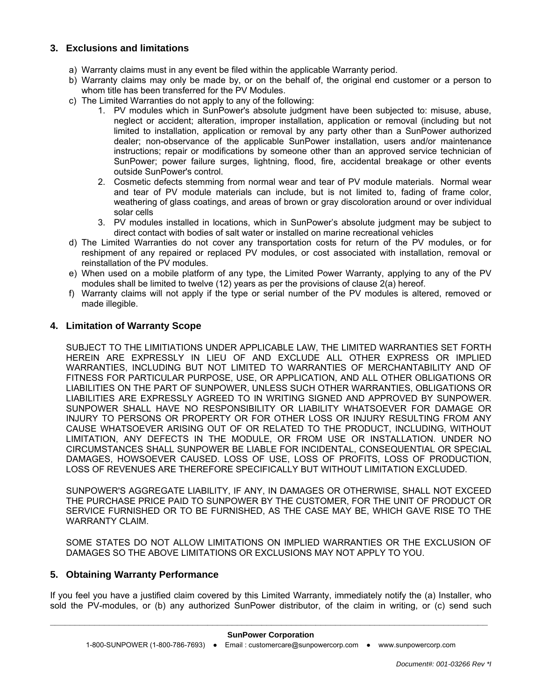## **3. Exclusions and limitations**

- a) Warranty claims must in any event be filed within the applicable Warranty period.
- b) Warranty claims may only be made by, or on the behalf of, the original end customer or a person to whom title has been transferred for the PV Modules.
- c) The Limited Warranties do not apply to any of the following:
	- 1. PV modules which in SunPower's absolute judgment have been subjected to: misuse, abuse, neglect or accident; alteration, improper installation, application or removal (including but not limited to installation, application or removal by any party other than a SunPower authorized dealer; non-observance of the applicable SunPower installation, users and/or maintenance instructions; repair or modifications by someone other than an approved service technician of SunPower; power failure surges, lightning, flood, fire, accidental breakage or other events outside SunPower's control.
	- 2. Cosmetic defects stemming from normal wear and tear of PV module materials. Normal wear and tear of PV module materials can include, but is not limited to, fading of frame color, weathering of glass coatings, and areas of brown or gray discoloration around or over individual solar cells
	- 3. PV modules installed in locations, which in SunPower's absolute judgment may be subject to direct contact with bodies of salt water or installed on marine recreational vehicles
- d) The Limited Warranties do not cover any transportation costs for return of the PV modules, or for reshipment of any repaired or replaced PV modules, or cost associated with installation, removal or reinstallation of the PV modules.
- e) When used on a mobile platform of any type, the Limited Power Warranty, applying to any of the PV modules shall be limited to twelve (12) years as per the provisions of clause 2(a) hereof.
- f) Warranty claims will not apply if the type or serial number of the PV modules is altered, removed or made illegible.

#### **4. Limitation of Warranty Scope**

SUBJECT TO THE LIMITIATIONS UNDER APPLICABLE LAW, THE LIMITED WARRANTIES SET FORTH HEREIN ARE EXPRESSLY IN LIEU OF AND EXCLUDE ALL OTHER EXPRESS OR IMPLIED WARRANTIES, INCLUDING BUT NOT LIMITED TO WARRANTIES OF MERCHANTABILITY AND OF FITNESS FOR PARTICULAR PURPOSE, USE, OR APPLICATION, AND ALL OTHER OBLIGATIONS OR LIABILITIES ON THE PART OF SUNPOWER, UNLESS SUCH OTHER WARRANTIES, OBLIGATIONS OR LIABILITIES ARE EXPRESSLY AGREED TO IN WRITING SIGNED AND APPROVED BY SUNPOWER. SUNPOWER SHALL HAVE NO RESPONSIBILITY OR LIABILITY WHATSOEVER FOR DAMAGE OR INJURY TO PERSONS OR PROPERTY OR FOR OTHER LOSS OR INJURY RESULTING FROM ANY CAUSE WHATSOEVER ARISING OUT OF OR RELATED TO THE PRODUCT, INCLUDING, WITHOUT LIMITATION, ANY DEFECTS IN THE MODULE, OR FROM USE OR INSTALLATION. UNDER NO CIRCUMSTANCES SHALL SUNPOWER BE LIABLE FOR INCIDENTAL, CONSEQUENTIAL OR SPECIAL DAMAGES, HOWSOEVER CAUSED. LOSS OF USE, LOSS OF PROFITS, LOSS OF PRODUCTION, LOSS OF REVENUES ARE THEREFORE SPECIFICALLY BUT WITHOUT LIMITATION EXCLUDED.

SUNPOWER'S AGGREGATE LIABILITY, IF ANY, IN DAMAGES OR OTHERWISE, SHALL NOT EXCEED THE PURCHASE PRICE PAID TO SUNPOWER BY THE CUSTOMER, FOR THE UNIT OF PRODUCT OR SERVICE FURNISHED OR TO BE FURNISHED, AS THE CASE MAY BE, WHICH GAVE RISE TO THE WARRANTY CLAIM.

SOME STATES DO NOT ALLOW LIMITATIONS ON IMPLIED WARRANTIES OR THE EXCLUSION OF DAMAGES SO THE ABOVE LIMITATIONS OR EXCLUSIONS MAY NOT APPLY TO YOU.

#### **5. Obtaining Warranty Performance**

If you feel you have a justified claim covered by this Limited Warranty, immediately notify the (a) Installer, who sold the PV-modules, or (b) any authorized SunPower distributor, of the claim in writing, or (c) send such

## **\_\_\_\_\_\_\_\_\_\_\_\_\_\_\_\_\_\_\_\_\_\_\_\_\_\_\_\_\_\_\_\_\_\_\_\_\_\_\_\_\_\_\_\_\_\_\_\_\_\_\_\_\_\_\_\_\_\_\_\_\_\_\_\_\_\_\_\_\_\_\_\_\_\_\_\_\_\_\_\_\_\_\_\_\_\_\_\_\_ SunPower Corporation**